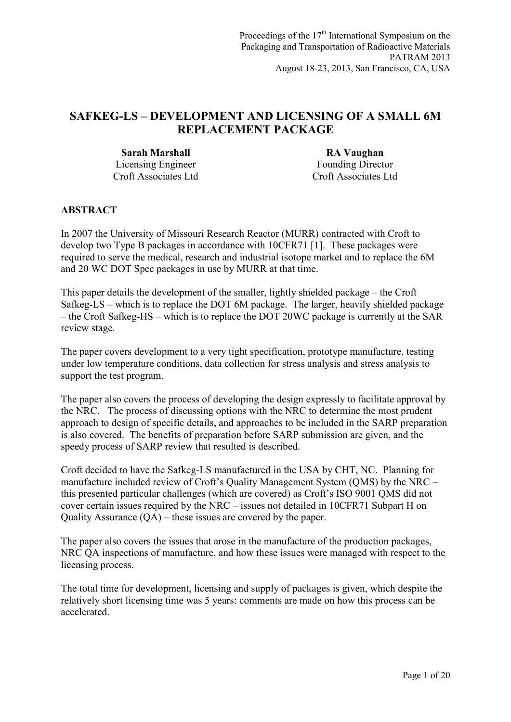# **SAFKEG-LS – DEVELOPMENT AND LICENSING OF A SMALL 6M REPLACEMENT PACKAGE**

**Sarah Marshall RA Vaughan** Licensing Engineer Croft Associates Ltd

Founding Director Croft Associates Ltd

# **ABSTRACT**

In 2007 the University of Missouri Research Reactor (MURR) contracted with Croft to develop two Type B packages in accordance with 10CFR71 [1]. These packages were required to serve the medical, research and industrial isotope market and to replace the 6M and 20 WC DOT Spec packages in use by MURR at that time.

This paper details the development of the smaller, lightly shielded package – the Croft Safkeg-LS – which is to replace the DOT 6M package. The larger, heavily shielded package – the Croft Safkeg-HS – which is to replace the DOT 20WC package is currently at the SAR review stage.

The paper covers development to a very tight specification, prototype manufacture, testing under low temperature conditions, data collection for stress analysis and stress analysis to support the test program.

The paper also covers the process of developing the design expressly to facilitate approval by the NRC. The process of discussing options with the NRC to determine the most prudent approach to design of specific details, and approaches to be included in the SARP preparation is also covered. The benefits of preparation before SARP submission are given, and the speedy process of SARP review that resulted is described.

Croft decided to have the Safkeg-LS manufactured in the USA by CHT, NC. Planning for manufacture included review of Croft's Quality Management System (QMS) by the NRC – this presented particular challenges (which are covered) as Croft's ISO 9001 QMS did not cover certain issues required by the NRC – issues not detailed in 10CFR71 Subpart H on Quality Assurance (QA) – these issues are covered by the paper.

The paper also covers the issues that arose in the manufacture of the production packages, NRC QA inspections of manufacture, and how these issues were managed with respect to the licensing process.

The total time for development, licensing and supply of packages is given, which despite the relatively short licensing time was 5 years: comments are made on how this process can be accelerated.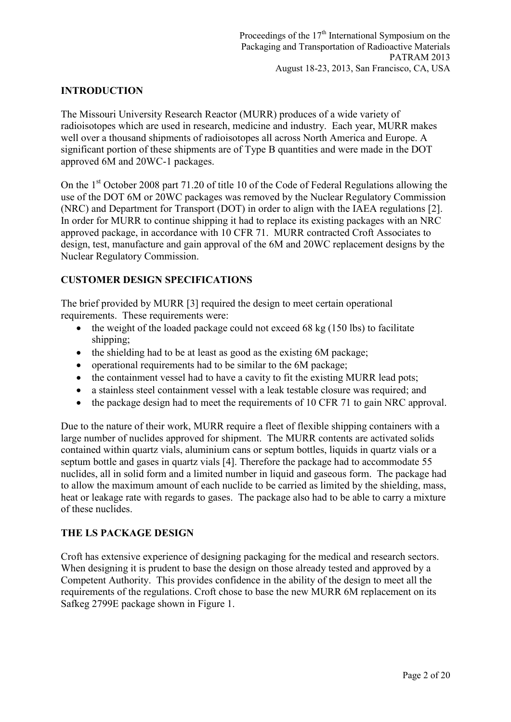### **INTRODUCTION**

The Missouri University Research Reactor (MURR) produces of a wide variety of radioisotopes which are used in research, medicine and industry. Each year, MURR makes well over a thousand shipments of radioisotopes all across North America and Europe. A significant portion of these shipments are of Type B quantities and were made in the DOT approved 6M and 20WC-1 packages.

On the 1<sup>st</sup> October 2008 part 71.20 of title 10 of the Code of Federal Regulations allowing the use of the DOT 6M or 20WC packages was removed by the Nuclear Regulatory Commission (NRC) and Department for Transport (DOT) in order to align with the IAEA regulations [2]. In order for MURR to continue shipping it had to replace its existing packages with an NRC approved package, in accordance with 10 CFR 71. MURR contracted Croft Associates to design, test, manufacture and gain approval of the 6M and 20WC replacement designs by the Nuclear Regulatory Commission.

# **CUSTOMER DESIGN SPECIFICATIONS**

The brief provided by MURR [3] required the design to meet certain operational requirements. These requirements were:

- $\bullet$  the weight of the loaded package could not exceed 68 kg (150 lbs) to facilitate shipping;
- the shielding had to be at least as good as the existing 6M package;
- operational requirements had to be similar to the 6M package;
- the containment vessel had to have a cavity to fit the existing MURR lead pots;
- a stainless steel containment vessel with a leak testable closure was required; and
- the package design had to meet the requirements of 10 CFR 71 to gain NRC approval.

Due to the nature of their work, MURR require a fleet of flexible shipping containers with a large number of nuclides approved for shipment. The MURR contents are activated solids contained within quartz vials, aluminium cans or septum bottles, liquids in quartz vials or a septum bottle and gases in quartz vials [4]. Therefore the package had to accommodate 55 nuclides, all in solid form and a limited number in liquid and gaseous form. The package had to allow the maximum amount of each nuclide to be carried as limited by the shielding, mass, heat or leakage rate with regards to gases. The package also had to be able to carry a mixture of these nuclides.

#### **THE LS PACKAGE DESIGN**

Croft has extensive experience of designing packaging for the medical and research sectors. When designing it is prudent to base the design on those already tested and approved by a Competent Authority. This provides confidence in the ability of the design to meet all the requirements of the regulations. Croft chose to base the new MURR 6M replacement on its Safkeg 2799E package shown in Figure 1.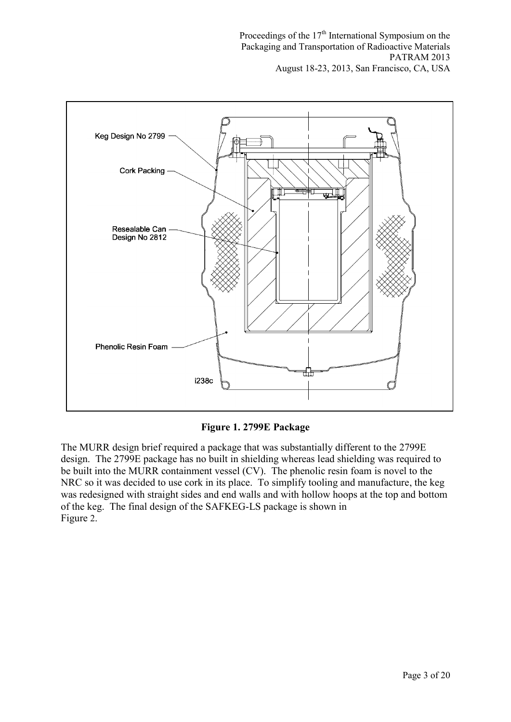

**Figure 1. 2799E Package** 

The MURR design brief required a package that was substantially different to the 2799E design. The 2799E package has no built in shielding whereas lead shielding was required to be built into the MURR containment vessel (CV). The phenolic resin foam is novel to the NRC so it was decided to use cork in its place. To simplify tooling and manufacture, the keg was redesigned with straight sides and end walls and with hollow hoops at the top and bottom of the keg. The final design of the SAFKEG-LS package is shown in Figure 2.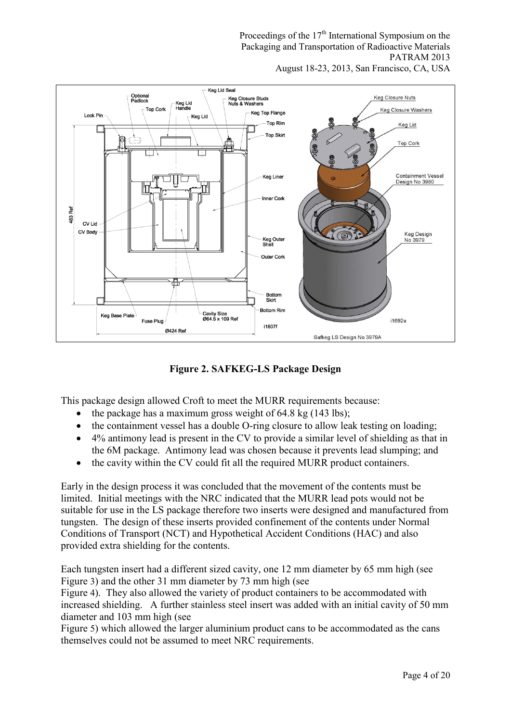Proceedings of the  $17<sup>th</sup>$  International Symposium on the Packaging and Transportation of Radioactive Materials PATRAM 2013





**Figure 2. SAFKEG-LS Package Design** 

This package design allowed Croft to meet the MURR requirements because:

- the package has a maximum gross weight of  $64.8 \text{ kg}$  (143 lbs);
- the containment vessel has a double O-ring closure to allow leak testing on loading;
- 4% antimony lead is present in the CV to provide a similar level of shielding as that in the 6M package. Antimony lead was chosen because it prevents lead slumping; and
- the cavity within the CV could fit all the required MURR product containers.

Early in the design process it was concluded that the movement of the contents must be limited. Initial meetings with the NRC indicated that the MURR lead pots would not be suitable for use in the LS package therefore two inserts were designed and manufactured from tungsten. The design of these inserts provided confinement of the contents under Normal Conditions of Transport (NCT) and Hypothetical Accident Conditions (HAC) and also provided extra shielding for the contents.

Each tungsten insert had a different sized cavity, one 12 mm diameter by 65 mm high (see Figure 3) and the other 31 mm diameter by 73 mm high (see

Figure 4). They also allowed the variety of product containers to be accommodated with increased shielding. A further stainless steel insert was added with an initial cavity of 50 mm diameter and 103 mm high (see

Figure 5) which allowed the larger aluminium product cans to be accommodated as the cans themselves could not be assumed to meet NRC requirements.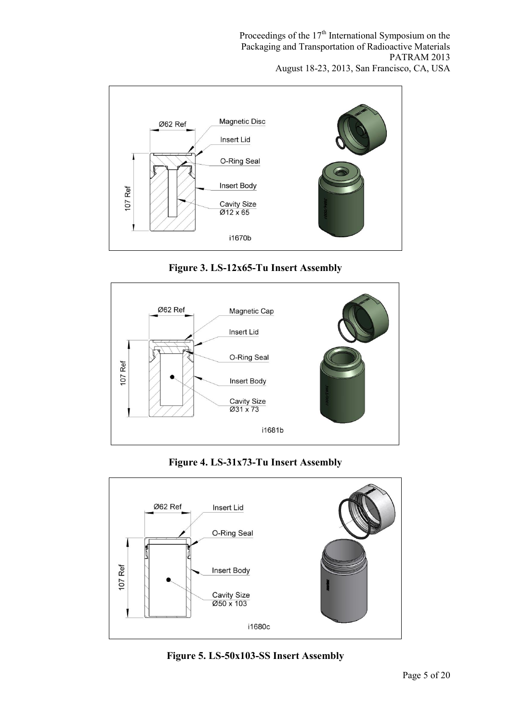





**Figure 4. LS-31x73-Tu Insert Assembly** 



**Figure 5. LS-50x103-SS Insert Assembly**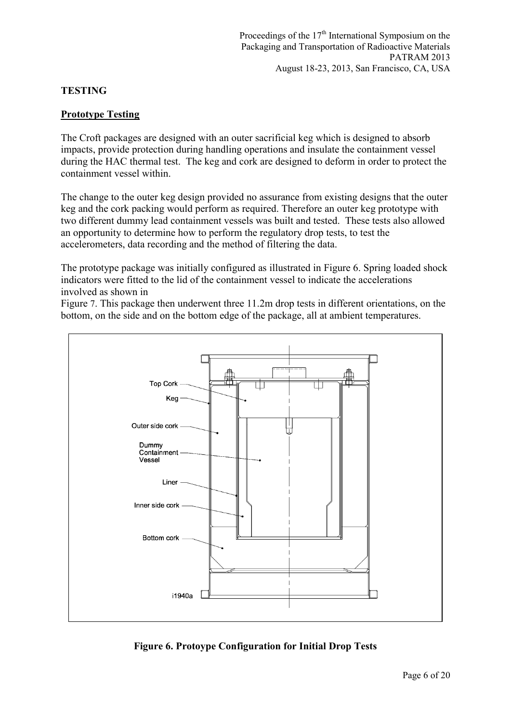#### **TESTING**

#### **Prototype Testing**

The Croft packages are designed with an outer sacrificial keg which is designed to absorb impacts, provide protection during handling operations and insulate the containment vessel during the HAC thermal test. The keg and cork are designed to deform in order to protect the containment vessel within.

The change to the outer keg design provided no assurance from existing designs that the outer keg and the cork packing would perform as required. Therefore an outer keg prototype with two different dummy lead containment vessels was built and tested. These tests also allowed an opportunity to determine how to perform the regulatory drop tests, to test the accelerometers, data recording and the method of filtering the data.

The prototype package was initially configured as illustrated in Figure 6. Spring loaded shock indicators were fitted to the lid of the containment vessel to indicate the accelerations involved as shown in

Figure 7. This package then underwent three 11.2m drop tests in different orientations, on the bottom, on the side and on the bottom edge of the package, all at ambient temperatures.



**Figure 6. Protoype Configuration for Initial Drop Tests**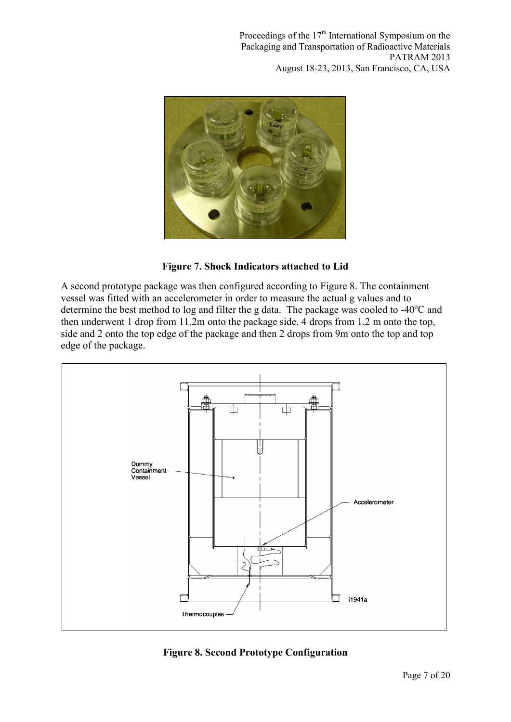

**Figure 7. Shock Indicators attached to Lid** 

A second prototype package was then configured according to Figure 8. The containment vessel was fitted with an accelerometer in order to measure the actual g values and to determine the best method to log and filter the g data. The package was cooled to  $-40^{\circ}$ C and then underwent 1 drop from 11.2m onto the package side. 4 drops from 1.2 m onto the top, side and 2 onto the top edge of the package and then 2 drops from 9m onto the top and top edge of the package.



**Figure 8. Second Prototype Configuration**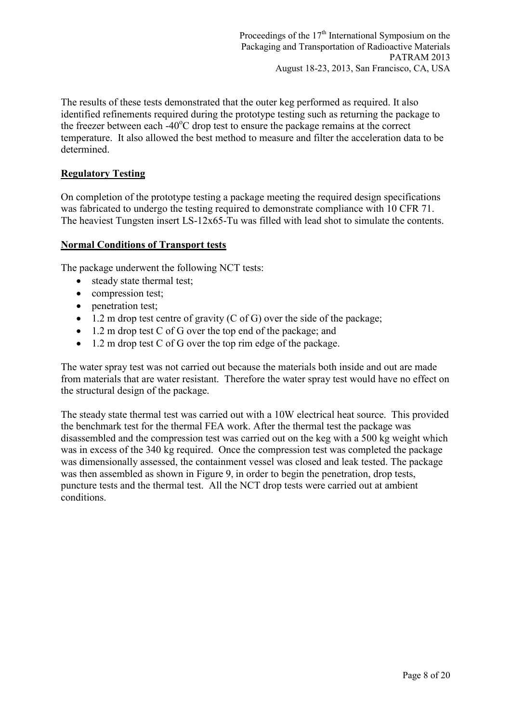The results of these tests demonstrated that the outer keg performed as required. It also identified refinements required during the prototype testing such as returning the package to the freezer between each  $-40^{\circ}$ C drop test to ensure the package remains at the correct temperature. It also allowed the best method to measure and filter the acceleration data to be determined.

#### **Regulatory Testing**

On completion of the prototype testing a package meeting the required design specifications was fabricated to undergo the testing required to demonstrate compliance with 10 CFR 71. The heaviest Tungsten insert LS-12x65-Tu was filled with lead shot to simulate the contents.

### **Normal Conditions of Transport tests**

The package underwent the following NCT tests:

- steady state thermal test;
- compression test;
- penetration test;
- $\bullet$  1.2 m drop test centre of gravity (C of G) over the side of the package;
- 1.2 m drop test C of G over the top end of the package; and
- 1.2 m drop test C of G over the top rim edge of the package.

The water spray test was not carried out because the materials both inside and out are made from materials that are water resistant. Therefore the water spray test would have no effect on the structural design of the package.

The steady state thermal test was carried out with a 10W electrical heat source. This provided the benchmark test for the thermal FEA work. After the thermal test the package was disassembled and the compression test was carried out on the keg with a 500 kg weight which was in excess of the 340 kg required. Once the compression test was completed the package was dimensionally assessed, the containment vessel was closed and leak tested. The package was then assembled as shown in Figure 9, in order to begin the penetration, drop tests, puncture tests and the thermal test. All the NCT drop tests were carried out at ambient conditions.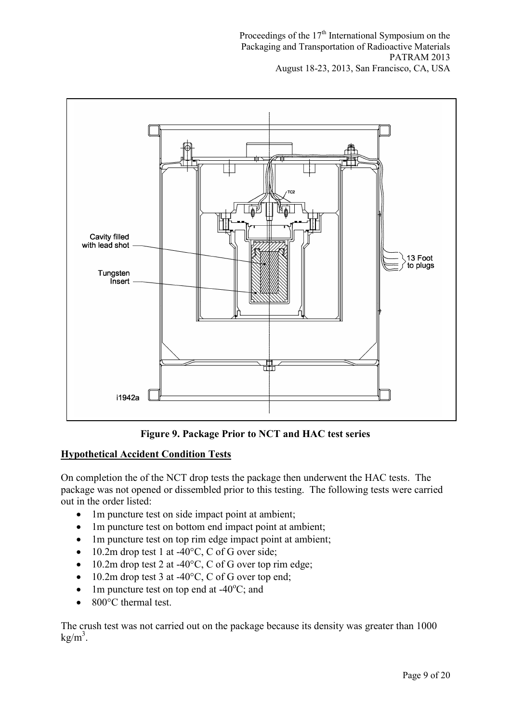

**Figure 9. Package Prior to NCT and HAC test series** 

# **Hypothetical Accident Condition Tests**

On completion the of the NCT drop tests the package then underwent the HAC tests. The package was not opened or dissembled prior to this testing. The following tests were carried out in the order listed:

- 1m puncture test on side impact point at ambient;
- 1m puncture test on bottom end impact point at ambient;
- 1m puncture test on top rim edge impact point at ambient;
- $\bullet$  10.2m drop test 1 at -40 $\degree$ C, C of G over side;
- $\bullet$  10.2m drop test 2 at -40 $\degree$ C, C of G over top rim edge;
- $\bullet$  10.2m drop test 3 at -40 $\degree$ C, C of G over top end;
- 1m puncture test on top end at  $-40^{\circ}$ C; and
- 800°C thermal test.

The crush test was not carried out on the package because its density was greater than 1000  $kg/m<sup>3</sup>$ .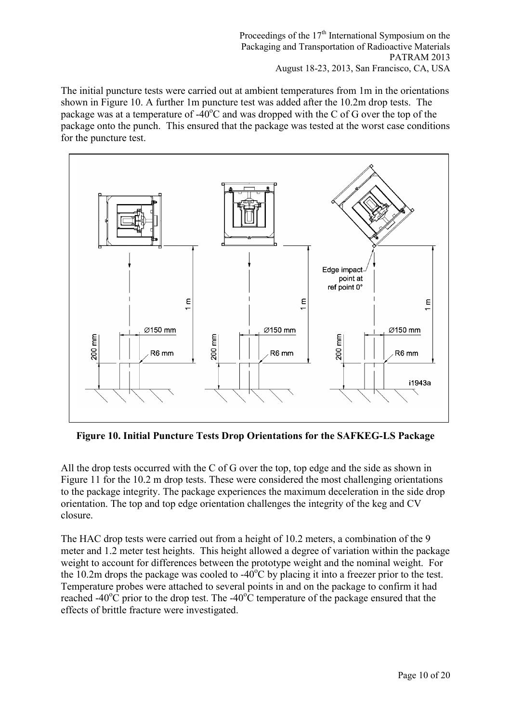The initial puncture tests were carried out at ambient temperatures from 1m in the orientations shown in Figure 10. A further 1m puncture test was added after the 10.2m drop tests. The package was at a temperature of  $-40^{\circ}$ C and was dropped with the C of G over the top of the package onto the punch. This ensured that the package was tested at the worst case conditions for the puncture test.



**Figure 10. Initial Puncture Tests Drop Orientations for the SAFKEG-LS Package** 

All the drop tests occurred with the C of G over the top, top edge and the side as shown in Figure 11 for the 10.2 m drop tests. These were considered the most challenging orientations to the package integrity. The package experiences the maximum deceleration in the side drop orientation. The top and top edge orientation challenges the integrity of the keg and CV closure.

The HAC drop tests were carried out from a height of 10.2 meters, a combination of the 9 meter and 1.2 meter test heights. This height allowed a degree of variation within the package weight to account for differences between the prototype weight and the nominal weight. For the 10.2m drops the package was cooled to  $-40^{\circ}$ C by placing it into a freezer prior to the test. Temperature probes were attached to several points in and on the package to confirm it had reached -40 $^{\circ}$ C prior to the drop test. The -40 $^{\circ}$ C temperature of the package ensured that the effects of brittle fracture were investigated.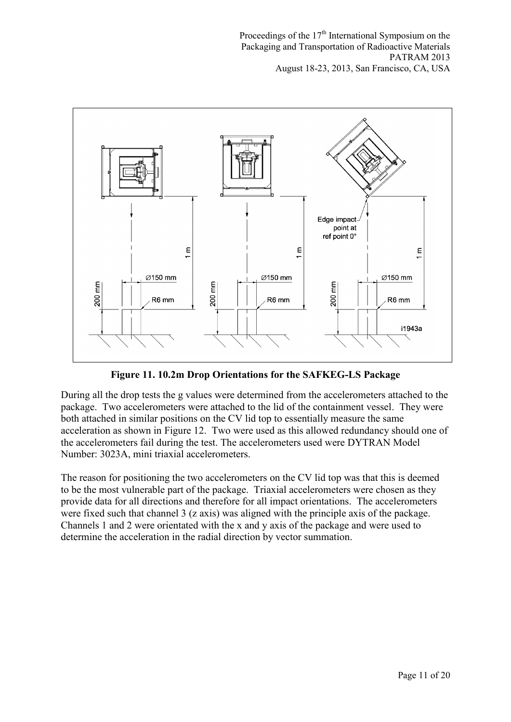

**Figure 11. 10.2m Drop Orientations for the SAFKEG-LS Package** 

During all the drop tests the g values were determined from the accelerometers attached to the package. Two accelerometers were attached to the lid of the containment vessel. They were both attached in similar positions on the CV lid top to essentially measure the same acceleration as shown in Figure 12. Two were used as this allowed redundancy should one of the accelerometers fail during the test. The accelerometers used were DYTRAN Model Number: 3023A, mini triaxial accelerometers.

The reason for positioning the two accelerometers on the CV lid top was that this is deemed to be the most vulnerable part of the package. Triaxial accelerometers were chosen as they provide data for all directions and therefore for all impact orientations. The accelerometers were fixed such that channel 3 (z axis) was aligned with the principle axis of the package. Channels 1 and 2 were orientated with the x and y axis of the package and were used to determine the acceleration in the radial direction by vector summation.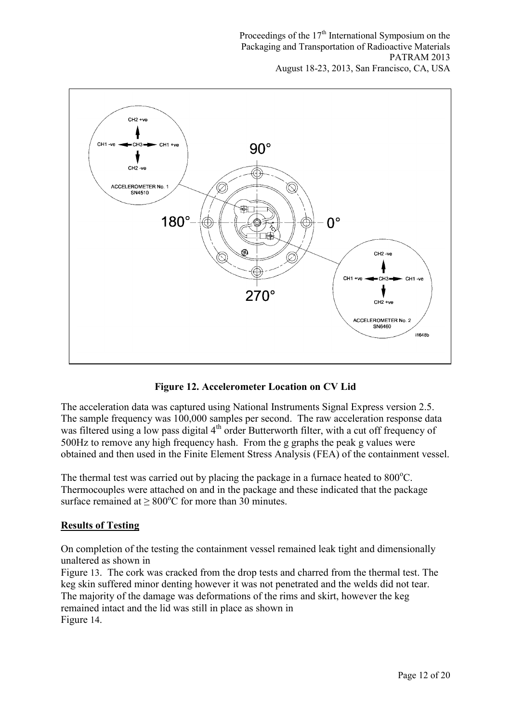

**Figure 12. Accelerometer Location on CV Lid** 

The acceleration data was captured using National Instruments Signal Express version 2.5. The sample frequency was 100,000 samples per second. The raw acceleration response data was filtered using a low pass digital 4<sup>th</sup> order Butterworth filter, with a cut off frequency of 500Hz to remove any high frequency hash. From the g graphs the peak g values were obtained and then used in the Finite Element Stress Analysis (FEA) of the containment vessel.

The thermal test was carried out by placing the package in a furnace heated to  $800^{\circ}$ C. Thermocouples were attached on and in the package and these indicated that the package surface remained at  $\geq 800^{\circ}$ C for more than 30 minutes.

# **Results of Testing**

On completion of the testing the containment vessel remained leak tight and dimensionally unaltered as shown in

Figure 13. The cork was cracked from the drop tests and charred from the thermal test. The keg skin suffered minor denting however it was not penetrated and the welds did not tear. The majority of the damage was deformations of the rims and skirt, however the keg remained intact and the lid was still in place as shown in Figure 14.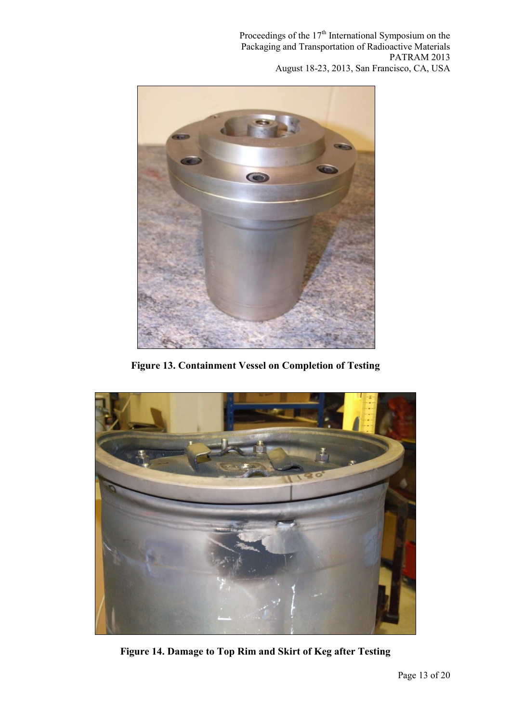

**Figure 13. Containment Vessel on Completion of Testing** 



**Figure 14. Damage to Top Rim and Skirt of Keg after Testing**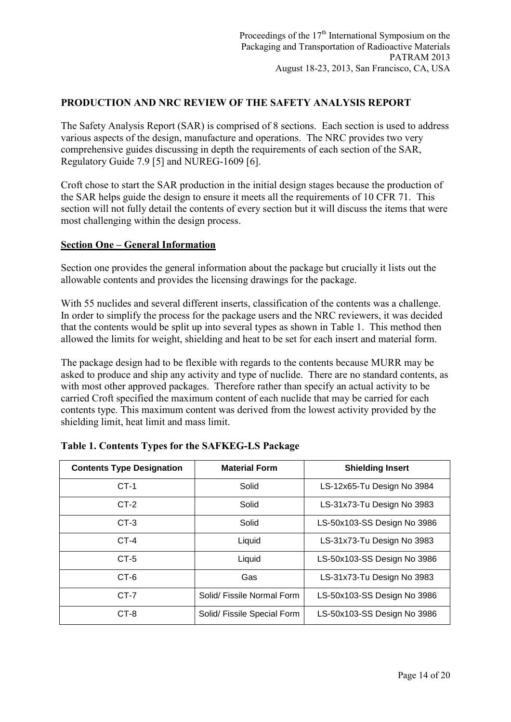### **PRODUCTION AND NRC REVIEW OF THE SAFETY ANALYSIS REPORT**

The Safety Analysis Report (SAR) is comprised of 8 sections. Each section is used to address various aspects of the design, manufacture and operations. The NRC provides two very comprehensive guides discussing in depth the requirements of each section of the SAR, Regulatory Guide 7.9 [5] and NUREG-1609 [6].

Croft chose to start the SAR production in the initial design stages because the production of the SAR helps guide the design to ensure it meets all the requirements of 10 CFR 71. This section will not fully detail the contents of every section but it will discuss the items that were most challenging within the design process.

#### **Section One – General Information**

Section one provides the general information about the package but crucially it lists out the allowable contents and provides the licensing drawings for the package.

With 55 nuclides and several different inserts, classification of the contents was a challenge. In order to simplify the process for the package users and the NRC reviewers, it was decided that the contents would be split up into several types as shown in Table 1. This method then allowed the limits for weight, shielding and heat to be set for each insert and material form.

The package design had to be flexible with regards to the contents because MURR may be asked to produce and ship any activity and type of nuclide. There are no standard contents, as with most other approved packages. Therefore rather than specify an actual activity to be carried Croft specified the maximum content of each nuclide that may be carried for each contents type. This maximum content was derived from the lowest activity provided by the shielding limit, heat limit and mass limit.

| <b>Contents Type Designation</b> | <b>Material Form</b>                | <b>Shielding Insert</b>     |  |
|----------------------------------|-------------------------------------|-----------------------------|--|
| $CT-1$                           | Solid                               | LS-12x65-Tu Design No 3984  |  |
| $CT-2$                           | Solid<br>LS-31x73-Tu Design No 3983 |                             |  |
| $CT-3$                           | Solid                               | LS-50x103-SS Design No 3986 |  |
| $CT-4$                           | Liquid                              | LS-31x73-Tu Design No 3983  |  |
| $CT-5$                           | Liquid                              | LS-50x103-SS Design No 3986 |  |
| CT-6                             | Gas                                 | LS-31x73-Tu Design No 3983  |  |
| $CT-7$                           | Solid/ Fissile Normal Form          | LS-50x103-SS Design No 3986 |  |
| $CT-8$                           | Solid/ Fissile Special Form         | LS-50x103-SS Design No 3986 |  |

| Table 1. Contents Types for the SAFKEG-LS Package |  |  |  |  |  |
|---------------------------------------------------|--|--|--|--|--|
|---------------------------------------------------|--|--|--|--|--|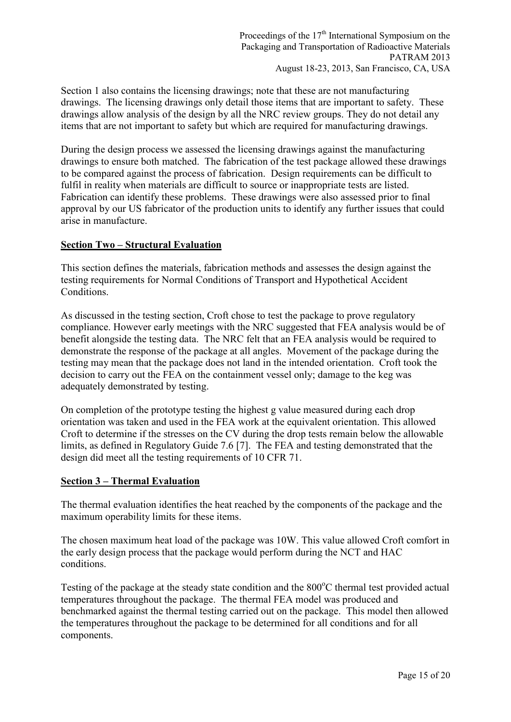Section 1 also contains the licensing drawings; note that these are not manufacturing drawings. The licensing drawings only detail those items that are important to safety. These drawings allow analysis of the design by all the NRC review groups. They do not detail any items that are not important to safety but which are required for manufacturing drawings.

During the design process we assessed the licensing drawings against the manufacturing drawings to ensure both matched. The fabrication of the test package allowed these drawings to be compared against the process of fabrication. Design requirements can be difficult to fulfil in reality when materials are difficult to source or inappropriate tests are listed. Fabrication can identify these problems. These drawings were also assessed prior to final approval by our US fabricator of the production units to identify any further issues that could arise in manufacture.

### **Section Two – Structural Evaluation**

This section defines the materials, fabrication methods and assesses the design against the testing requirements for Normal Conditions of Transport and Hypothetical Accident Conditions.

As discussed in the testing section, Croft chose to test the package to prove regulatory compliance. However early meetings with the NRC suggested that FEA analysis would be of benefit alongside the testing data. The NRC felt that an FEA analysis would be required to demonstrate the response of the package at all angles. Movement of the package during the testing may mean that the package does not land in the intended orientation. Croft took the decision to carry out the FEA on the containment vessel only; damage to the keg was adequately demonstrated by testing.

On completion of the prototype testing the highest g value measured during each drop orientation was taken and used in the FEA work at the equivalent orientation. This allowed Croft to determine if the stresses on the CV during the drop tests remain below the allowable limits, as defined in Regulatory Guide 7.6 [7]. The FEA and testing demonstrated that the design did meet all the testing requirements of 10 CFR 71.

#### **Section 3 – Thermal Evaluation**

The thermal evaluation identifies the heat reached by the components of the package and the maximum operability limits for these items.

The chosen maximum heat load of the package was 10W. This value allowed Croft comfort in the early design process that the package would perform during the NCT and HAC conditions.

Testing of the package at the steady state condition and the  $800^{\circ}$ C thermal test provided actual temperatures throughout the package. The thermal FEA model was produced and benchmarked against the thermal testing carried out on the package. This model then allowed the temperatures throughout the package to be determined for all conditions and for all components.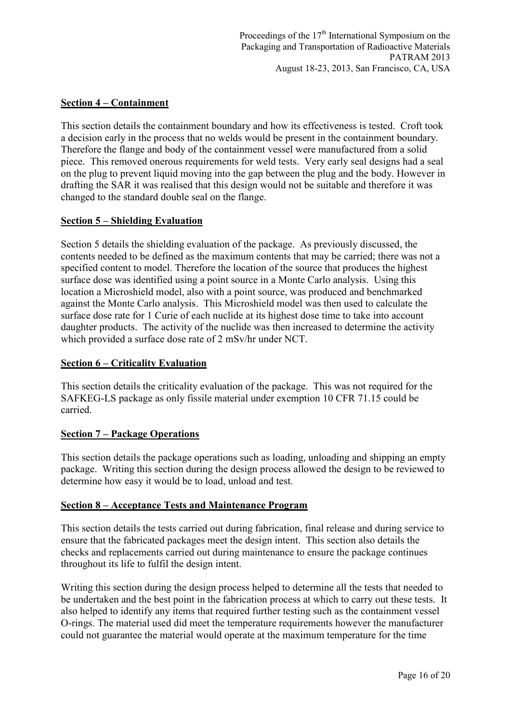### **Section 4 – Containment**

This section details the containment boundary and how its effectiveness is tested. Croft took a decision early in the process that no welds would be present in the containment boundary. Therefore the flange and body of the containment vessel were manufactured from a solid piece. This removed onerous requirements for weld tests. Very early seal designs had a seal on the plug to prevent liquid moving into the gap between the plug and the body. However in drafting the SAR it was realised that this design would not be suitable and therefore it was changed to the standard double seal on the flange.

### **Section 5 – Shielding Evaluation**

Section 5 details the shielding evaluation of the package. As previously discussed, the contents needed to be defined as the maximum contents that may be carried; there was not a specified content to model. Therefore the location of the source that produces the highest surface dose was identified using a point source in a Monte Carlo analysis. Using this location a Microshield model, also with a point source, was produced and benchmarked against the Monte Carlo analysis. This Microshield model was then used to calculate the surface dose rate for 1 Curie of each nuclide at its highest dose time to take into account daughter products. The activity of the nuclide was then increased to determine the activity which provided a surface dose rate of 2 mSv/hr under NCT.

#### **Section 6 – Criticality Evaluation**

This section details the criticality evaluation of the package. This was not required for the SAFKEG-LS package as only fissile material under exemption 10 CFR 71.15 could be carried.

#### **Section 7 – Package Operations**

This section details the package operations such as loading, unloading and shipping an empty package. Writing this section during the design process allowed the design to be reviewed to determine how easy it would be to load, unload and test.

#### **Section 8 – Acceptance Tests and Maintenance Program**

This section details the tests carried out during fabrication, final release and during service to ensure that the fabricated packages meet the design intent. This section also details the checks and replacements carried out during maintenance to ensure the package continues throughout its life to fulfil the design intent.

Writing this section during the design process helped to determine all the tests that needed to be undertaken and the best point in the fabrication process at which to carry out these tests. It also helped to identify any items that required further testing such as the containment vessel O-rings. The material used did meet the temperature requirements however the manufacturer could not guarantee the material would operate at the maximum temperature for the time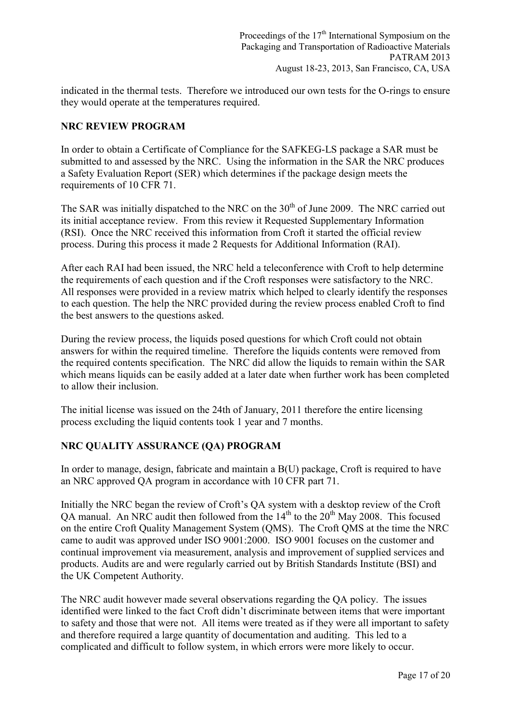indicated in the thermal tests. Therefore we introduced our own tests for the O-rings to ensure they would operate at the temperatures required.

#### **NRC REVIEW PROGRAM**

In order to obtain a Certificate of Compliance for the SAFKEG-LS package a SAR must be submitted to and assessed by the NRC. Using the information in the SAR the NRC produces a Safety Evaluation Report (SER) which determines if the package design meets the requirements of 10 CFR 71.

The SAR was initially dispatched to the NRC on the  $30<sup>th</sup>$  of June 2009. The NRC carried out its initial acceptance review. From this review it Requested Supplementary Information (RSI). Once the NRC received this information from Croft it started the official review process. During this process it made 2 Requests for Additional Information (RAI).

After each RAI had been issued, the NRC held a teleconference with Croft to help determine the requirements of each question and if the Croft responses were satisfactory to the NRC. All responses were provided in a review matrix which helped to clearly identify the responses to each question. The help the NRC provided during the review process enabled Croft to find the best answers to the questions asked.

During the review process, the liquids posed questions for which Croft could not obtain answers for within the required timeline. Therefore the liquids contents were removed from the required contents specification. The NRC did allow the liquids to remain within the SAR which means liquids can be easily added at a later date when further work has been completed to allow their inclusion.

The initial license was issued on the 24th of January, 2011 therefore the entire licensing process excluding the liquid contents took 1 year and 7 months.

# **NRC QUALITY ASSURANCE (QA) PROGRAM**

In order to manage, design, fabricate and maintain a B(U) package, Croft is required to have an NRC approved QA program in accordance with 10 CFR part 71.

Initially the NRC began the review of Croft's QA system with a desktop review of the Croft OA manual. An NRC audit then followed from the  $14<sup>th</sup>$  to the  $20<sup>th</sup>$  May 2008. This focused on the entire Croft Quality Management System (QMS). The Croft QMS at the time the NRC came to audit was approved under ISO 9001:2000. ISO 9001 focuses on the customer and continual improvement via measurement, analysis and improvement of supplied services and products. Audits are and were regularly carried out by British Standards Institute (BSI) and the UK Competent Authority.

The NRC audit however made several observations regarding the QA policy. The issues identified were linked to the fact Croft didn't discriminate between items that were important to safety and those that were not. All items were treated as if they were all important to safety and therefore required a large quantity of documentation and auditing. This led to a complicated and difficult to follow system, in which errors were more likely to occur.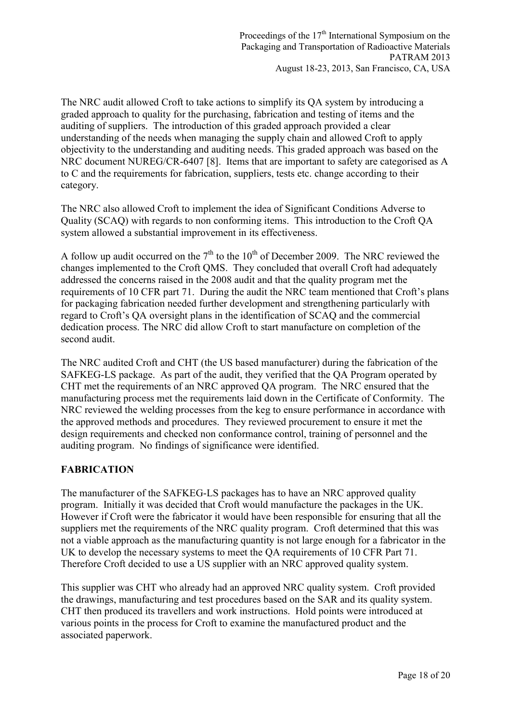The NRC audit allowed Croft to take actions to simplify its QA system by introducing a graded approach to quality for the purchasing, fabrication and testing of items and the auditing of suppliers. The introduction of this graded approach provided a clear understanding of the needs when managing the supply chain and allowed Croft to apply objectivity to the understanding and auditing needs. This graded approach was based on the NRC document NUREG/CR-6407 [8]. Items that are important to safety are categorised as A to C and the requirements for fabrication, suppliers, tests etc. change according to their category.

The NRC also allowed Croft to implement the idea of Significant Conditions Adverse to Quality (SCAQ) with regards to non conforming items. This introduction to the Croft QA system allowed a substantial improvement in its effectiveness.

A follow up audit occurred on the  $7<sup>th</sup>$  to the 10<sup>th</sup> of December 2009. The NRC reviewed the changes implemented to the Croft QMS. They concluded that overall Croft had adequately addressed the concerns raised in the 2008 audit and that the quality program met the requirements of 10 CFR part 71. During the audit the NRC team mentioned that Croft's plans for packaging fabrication needed further development and strengthening particularly with regard to Croft's QA oversight plans in the identification of SCAQ and the commercial dedication process. The NRC did allow Croft to start manufacture on completion of the second audit.

The NRC audited Croft and CHT (the US based manufacturer) during the fabrication of the SAFKEG-LS package. As part of the audit, they verified that the QA Program operated by CHT met the requirements of an NRC approved QA program. The NRC ensured that the manufacturing process met the requirements laid down in the Certificate of Conformity. The NRC reviewed the welding processes from the keg to ensure performance in accordance with the approved methods and procedures. They reviewed procurement to ensure it met the design requirements and checked non conformance control, training of personnel and the auditing program. No findings of significance were identified.

# **FABRICATION**

The manufacturer of the SAFKEG-LS packages has to have an NRC approved quality program. Initially it was decided that Croft would manufacture the packages in the UK. However if Croft were the fabricator it would have been responsible for ensuring that all the suppliers met the requirements of the NRC quality program. Croft determined that this was not a viable approach as the manufacturing quantity is not large enough for a fabricator in the UK to develop the necessary systems to meet the QA requirements of 10 CFR Part 71. Therefore Croft decided to use a US supplier with an NRC approved quality system.

This supplier was CHT who already had an approved NRC quality system. Croft provided the drawings, manufacturing and test procedures based on the SAR and its quality system. CHT then produced its travellers and work instructions. Hold points were introduced at various points in the process for Croft to examine the manufactured product and the associated paperwork.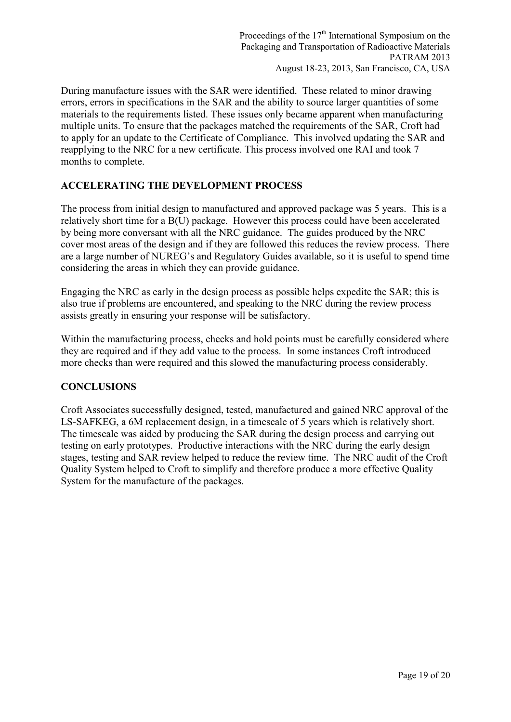During manufacture issues with the SAR were identified. These related to minor drawing errors, errors in specifications in the SAR and the ability to source larger quantities of some materials to the requirements listed. These issues only became apparent when manufacturing multiple units. To ensure that the packages matched the requirements of the SAR, Croft had to apply for an update to the Certificate of Compliance. This involved updating the SAR and reapplying to the NRC for a new certificate. This process involved one RAI and took 7 months to complete.

# **ACCELERATING THE DEVELOPMENT PROCESS**

The process from initial design to manufactured and approved package was 5 years. This is a relatively short time for a B(U) package. However this process could have been accelerated by being more conversant with all the NRC guidance. The guides produced by the NRC cover most areas of the design and if they are followed this reduces the review process. There are a large number of NUREG's and Regulatory Guides available, so it is useful to spend time considering the areas in which they can provide guidance.

Engaging the NRC as early in the design process as possible helps expedite the SAR; this is also true if problems are encountered, and speaking to the NRC during the review process assists greatly in ensuring your response will be satisfactory.

Within the manufacturing process, checks and hold points must be carefully considered where they are required and if they add value to the process. In some instances Croft introduced more checks than were required and this slowed the manufacturing process considerably.

# **CONCLUSIONS**

Croft Associates successfully designed, tested, manufactured and gained NRC approval of the LS-SAFKEG, a 6M replacement design, in a timescale of 5 years which is relatively short. The timescale was aided by producing the SAR during the design process and carrying out testing on early prototypes. Productive interactions with the NRC during the early design stages, testing and SAR review helped to reduce the review time. The NRC audit of the Croft Quality System helped to Croft to simplify and therefore produce a more effective Quality System for the manufacture of the packages.